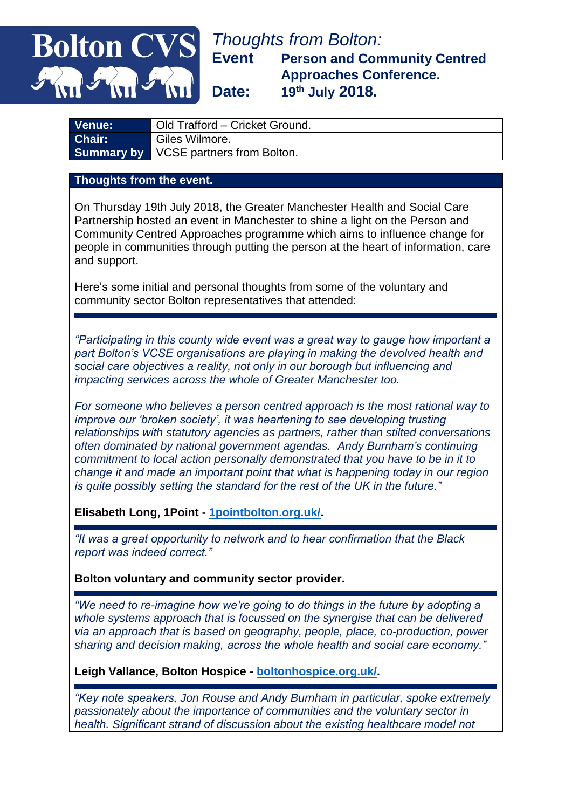## *Thoughts from Bolton:* **Event Person and Community Centred Approaches Conference. Date: 19th July 2018.**

| LVenue: <sup>∖</sup> | Old Trafford - Cricket Ground.               |
|----------------------|----------------------------------------------|
| <b>Chair:</b>        | Giles Wilmore.                               |
|                      | <b>Summary by VCSE partners from Bolton.</b> |

## **Thoughts from the event.**

**Bolton CV** 

On Thursday 19th July 2018, the Greater Manchester Health and Social Care Partnership hosted an event in Manchester to shine a light on the Person and Community Centred Approaches programme which aims to influence change for people in communities through putting the person at the heart of information, care and support.

Here's some initial and personal thoughts from some of the voluntary and community sector Bolton representatives that attended:

*"Participating in this county wide event was a great way to gauge how important a part Bolton's VCSE organisations are playing in making the devolved health and social care objectives a reality, not only in our borough but influencing and impacting services across the whole of Greater Manchester too.*

*For someone who believes a person centred approach is the most rational way to improve our 'broken society', it was heartening to see developing trusting relationships with statutory agencies as partners, rather than stilted conversations often dominated by national government agendas. Andy Burnham's continuing commitment to local action personally demonstrated that you have to be in it to change it and made an important point that what is happening today in our region is quite possibly setting the standard for the rest of the UK in the future."*

**Elisabeth Long, 1Point - [1pointbolton.org.uk/.](https://www.1pointbolton.org.uk/)** 

*"It was a great opportunity to network and to hear confirmation that the Black report was indeed correct."*

**Bolton voluntary and community sector provider.**

*"We need to re-imagine how we're going to do things in the future by adopting a whole systems approach that is focussed on the synergise that can be delivered via an approach that is based on geography, people, place, co-production, power sharing and decision making, across the whole health and social care economy."*

**Leigh Vallance, Bolton Hospice - [boltonhospice.org.uk/.](https://www.boltonhospice.org.uk/)** 

*"Key note speakers, Jon Rouse and Andy Burnham in particular, spoke extremely passionately about the importance of communities and the voluntary sector in health. Significant strand of discussion about the existing healthcare model not*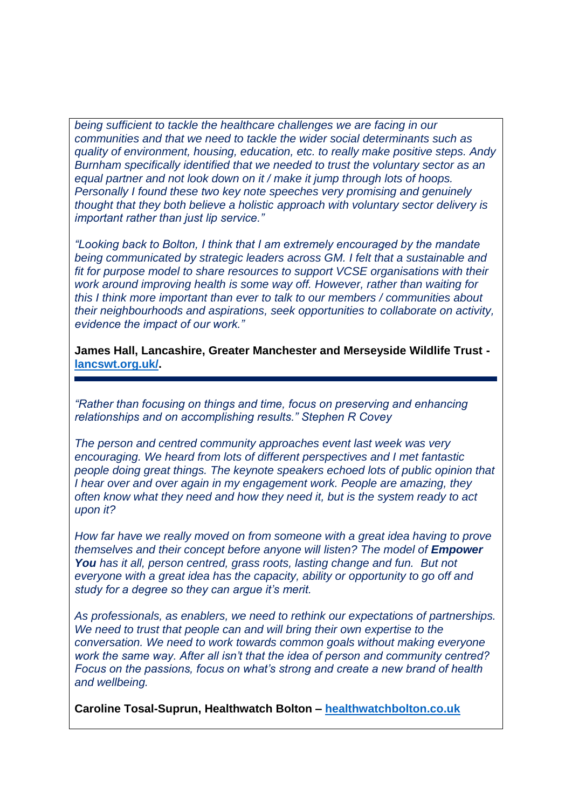*being sufficient to tackle the healthcare challenges we are facing in our communities and that we need to tackle the wider social determinants such as quality of environment, housing, education, etc. to really make positive steps. Andy Burnham specifically identified that we needed to trust the voluntary sector as an equal partner and not look down on it / make it jump through lots of hoops. Personally I found these two key note speeches very promising and genuinely thought that they both believe a holistic approach with voluntary sector delivery is important rather than just lip service."*

*"Looking back to Bolton, I think that I am extremely encouraged by the mandate being communicated by strategic leaders across GM. I felt that a sustainable and fit for purpose model to share resources to support VCSE organisations with their work around improving health is some way off. However, rather than waiting for this I think more important than ever to talk to our members / communities about their neighbourhoods and aspirations, seek opportunities to collaborate on activity, evidence the impact of our work."*

**James Hall, Lancashire, Greater Manchester and Merseyside Wildlife Trust [lancswt.org.uk/.](http://www.lancswt.org.uk/)**

*"Rather than focusing on things and time, focus on preserving and enhancing relationships and on accomplishing results." Stephen R Covey* 

*The person and centred community approaches event last week was very encouraging. We heard from lots of different perspectives and I met fantastic people doing great things. The keynote speakers echoed lots of public opinion that I hear over and over again in my engagement work. People are amazing, they often know what they need and how they need it, but is the system ready to act upon it?* 

*How far have we really moved on from someone with a great idea having to prove themselves and their concept before anyone will listen? The model of Empower [You](http://www.unlimitedpotential.org.uk/enterprise/innovation-projects/empower) has it all, person centred, grass roots, lasting change and fun. But not everyone with a great idea has the capacity, ability or opportunity to go off and study for a degree so they can argue it's merit.* 

*As professionals, as enablers, we need to rethink our expectations of partnerships. We need to trust that people can and will bring their own expertise to the conversation. We need to work towards common goals without making everyone work the same way. After all isn't that the idea of person and community centred? Focus on the passions, focus on what's strong and create a new brand of health and wellbeing.* 

**Caroline Tosal-Suprun, Healthwatch Bolton – [healthwatchbolton.co.uk](http://www.healthwatchbolton.co.uk/)**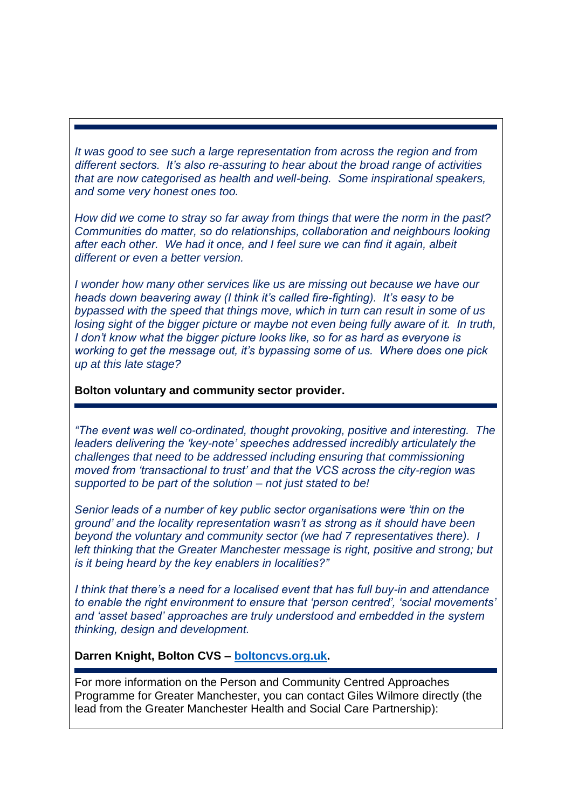*It was good to see such a large representation from across the region and from different sectors. It's also re-assuring to hear about the broad range of activities that are now categorised as health and well-being. Some inspirational speakers, and some very honest ones too.*

*How did we come to stray so far away from things that were the norm in the past? Communities do matter, so do relationships, collaboration and neighbours looking after each other. We had it once, and I feel sure we can find it again, albeit different or even a better version.*

*I wonder how many other services like us are missing out because we have our heads down beavering away (I think it's called fire-fighting). It's easy to be bypassed with the speed that things move, which in turn can result in some of us losing sight of the bigger picture or maybe not even being fully aware of it. In truth, I don't know what the bigger picture looks like, so for as hard as everyone is working to get the message out, it's bypassing some of us. Where does one pick up at this late stage?*

## **Bolton voluntary and community sector provider.**

*"The event was well co-ordinated, thought provoking, positive and interesting. The leaders delivering the 'key-note' speeches addressed incredibly articulately the challenges that need to be addressed including ensuring that commissioning moved from 'transactional to trust' and that the VCS across the city-region was supported to be part of the solution – not just stated to be!*

*Senior leads of a number of key public sector organisations were 'thin on the ground' and the locality representation wasn't as strong as it should have been beyond the voluntary and community sector (we had 7 representatives there). I left thinking that the Greater Manchester message is right, positive and strong; but is it being heard by the key enablers in localities?"*

*I think that there's a need for a localised event that has full buy-in and attendance to enable the right environment to ensure that 'person centred', 'social movements' and 'asset based' approaches are truly understood and embedded in the system thinking, design and development.*

## **Darren Knight, Bolton CVS – [boltoncvs.org.uk.](http://www.boltoncvs.org.uk/)**

For more information on the Person and Community Centred Approaches Programme for Greater Manchester, you can contact Giles Wilmore directly (the lead from the Greater Manchester Health and Social Care Partnership):